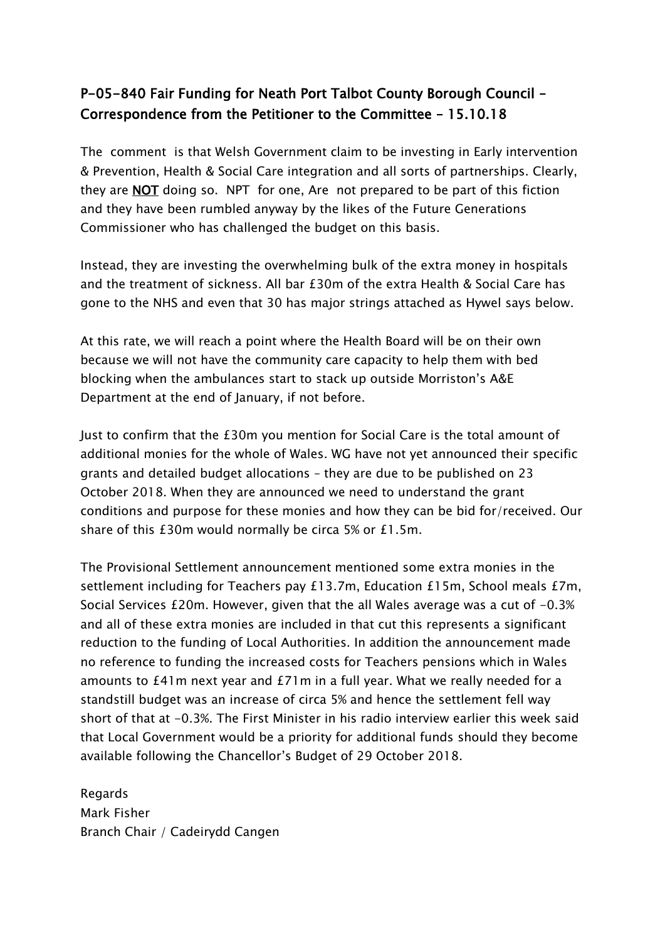## P-05-840 Fair Funding for Neath Port Talbot County Borough Council – Correspondence from the Petitioner to the Committee – 15.10.18

The comment is that Welsh Government claim to be investing in Early intervention & Prevention, Health & Social Care integration and all sorts of partnerships. Clearly, they are NOT doing so. NPT for one, Are not prepared to be part of this fiction and they have been rumbled anyway by the likes of the Future Generations Commissioner who has challenged the budget on this basis.

Instead, they are investing the overwhelming bulk of the extra money in hospitals and the treatment of sickness. All bar £30m of the extra Health & Social Care has gone to the NHS and even that 30 has major strings attached as Hywel says below.

At this rate, we will reach a point where the Health Board will be on their own because we will not have the community care capacity to help them with bed blocking when the ambulances start to stack up outside Morriston's A&E Department at the end of January, if not before.

Just to confirm that the £30m you mention for Social Care is the total amount of additional monies for the whole of Wales. WG have not yet announced their specific grants and detailed budget allocations – they are due to be published on 23 October 2018. When they are announced we need to understand the grant conditions and purpose for these monies and how they can be bid for/received. Our share of this £30m would normally be circa 5% or £1.5m.

The Provisional Settlement announcement mentioned some extra monies in the settlement including for Teachers pay £13.7m, Education £15m, School meals £7m, Social Services  $£20m$ . However, given that the all Wales average was a cut of  $-0.3%$ and all of these extra monies are included in that cut this represents a significant reduction to the funding of Local Authorities. In addition the announcement made no reference to funding the increased costs for Teachers pensions which in Wales amounts to £41m next year and £71m in a full year. What we really needed for a standstill budget was an increase of circa 5% and hence the settlement fell way short of that at -0.3%. The First Minister in his radio interview earlier this week said that Local Government would be a priority for additional funds should they become available following the Chancellor's Budget of 29 October 2018.

Regards Mark Fisher Branch Chair / Cadeirydd Cangen